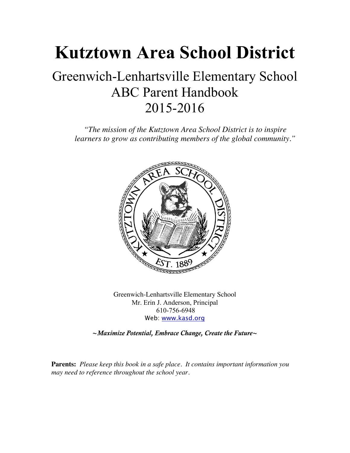## **Kutztown Area School District**

## Greenwich-Lenhartsville Elementary School ABC Parent Handbook 2015-2016

*"The mission of the Kutztown Area School District is to inspire learners to grow as contributing members of the global community."*



Greenwich-Lenhartsville Elementary School Mr. Erin J. Anderson, Principal 610-756-6948 Web: www.kasd.org

**~***Maximize Potential, Embrace Change, Create the Future***~**

**Parents:** *Please keep this book in a safe place. It contains important information you may need to reference throughout the school year.*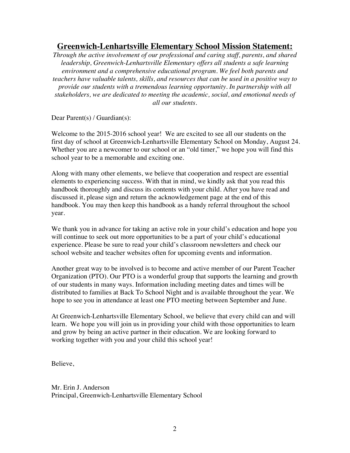#### **Greenwich-Lenhartsville Elementary School Mission Statement:**

*Through the active involvement of our professional and caring staff, parents, and shared leadership, Greenwich-Lenhartsville Elementary offers all students a safe learning environment and a comprehensive educational program. We feel both parents and teachers have valuable talents, skills, and resources that can be used in a positive way to provide our students with a tremendous learning opportunity. In partnership with all stakeholders, we are dedicated to meeting the academic, social, and emotional needs of all our students.*

Dear Parent(s) / Guardian(s):

Welcome to the 2015-2016 school year! We are excited to see all our students on the first day of school at Greenwich-Lenhartsville Elementary School on Monday, August 24. Whether you are a newcomer to our school or an "old timer," we hope you will find this school year to be a memorable and exciting one.

Along with many other elements, we believe that cooperation and respect are essential elements to experiencing success. With that in mind, we kindly ask that you read this handbook thoroughly and discuss its contents with your child. After you have read and discussed it, please sign and return the acknowledgement page at the end of this handbook. You may then keep this handbook as a handy referral throughout the school year.

We thank you in advance for taking an active role in your child's education and hope you will continue to seek out more opportunities to be a part of your child's educational experience. Please be sure to read your child's classroom newsletters and check our school website and teacher websites often for upcoming events and information.

Another great way to be involved is to become and active member of our Parent Teacher Organization (PTO). Our PTO is a wonderful group that supports the learning and growth of our students in many ways. Information including meeting dates and times will be distributed to families at Back To School Night and is available throughout the year. We hope to see you in attendance at least one PTO meeting between September and June.

At Greenwich-Lenhartsville Elementary School, we believe that every child can and will learn. We hope you will join us in providing your child with those opportunities to learn and grow by being an active partner in their education. We are looking forward to working together with you and your child this school year!

Believe,

Mr. Erin J. Anderson Principal, Greenwich-Lenhartsville Elementary School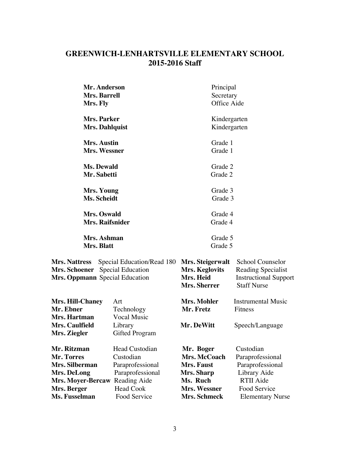#### **GREENWICH-LENHARTSVILLE ELEMENTARY SCHOOL 2015-2016 Staff**

| Mr. Anderson                                                                                                                             |                                         | Principal                                                       |                                                                                              |  |
|------------------------------------------------------------------------------------------------------------------------------------------|-----------------------------------------|-----------------------------------------------------------------|----------------------------------------------------------------------------------------------|--|
| Mrs. Barrell                                                                                                                             |                                         | Secretary                                                       |                                                                                              |  |
| Mrs. Fly                                                                                                                                 |                                         | Office Aide                                                     |                                                                                              |  |
| Mrs. Parker                                                                                                                              |                                         | Kindergarten                                                    |                                                                                              |  |
| <b>Mrs. Dahlquist</b>                                                                                                                    |                                         |                                                                 | Kindergarten                                                                                 |  |
| Mrs. Austin                                                                                                                              |                                         | Grade 1                                                         |                                                                                              |  |
| Mrs. Wessner                                                                                                                             |                                         | Grade 1                                                         |                                                                                              |  |
| Ms. Dewald                                                                                                                               |                                         | Grade 2                                                         |                                                                                              |  |
| Mr. Sabetti                                                                                                                              |                                         | Grade 2                                                         |                                                                                              |  |
| Mrs. Young                                                                                                                               |                                         | Grade 3                                                         |                                                                                              |  |
| Ms. Scheidt                                                                                                                              |                                         | Grade 3                                                         |                                                                                              |  |
| Mrs. Oswald                                                                                                                              |                                         | Grade 4                                                         |                                                                                              |  |
| Mrs. Raifsnider                                                                                                                          |                                         | Grade 4                                                         |                                                                                              |  |
| Mrs. Ashman                                                                                                                              |                                         | Grade 5                                                         |                                                                                              |  |
| Mrs. Blatt                                                                                                                               |                                         | Grade 5                                                         |                                                                                              |  |
| Special Education/Read 180<br><b>Mrs. Nattress</b><br><b>Special Education</b><br><b>Mrs. Schoener</b><br>Mrs. Oppmann Special Education |                                         | Mrs. Steigerwalt<br>Mrs. Keglovits<br>Mrs. Heid<br>Mrs. Sherrer | School Counselor<br>Reading Specialist<br><b>Instructional Support</b><br><b>Staff Nurse</b> |  |
| <b>Mrs. Hill-Chaney</b><br>Mr. Ebner<br>Mrs. Hartman                                                                                     | Art<br>Technology<br><b>Vocal Music</b> | Mrs. Mohler<br>Mr. Fretz                                        | <b>Instrumental Music</b><br>Fitness                                                         |  |
| Mrs. Caulfield<br>Mrs. Ziegler                                                                                                           | Library<br>Gifted Program               | Mr. DeWitt                                                      | Speech/Language                                                                              |  |
| Mr. Ritzman                                                                                                                              | <b>Head Custodian</b>                   | Mr. Boger                                                       | Custodian                                                                                    |  |
| Mr. Torres                                                                                                                               | Custodian                               | Mrs. McCoach                                                    | Paraprofessional                                                                             |  |
| Mrs. Silberman                                                                                                                           | Paraprofessional                        | Mrs. Faust                                                      | Paraprofessional                                                                             |  |
| Mrs. DeLong                                                                                                                              | Paraprofessional                        | Mrs. Sharp                                                      | Library Aide                                                                                 |  |
| Mrs. Moyer-Bercaw Reading Aide                                                                                                           |                                         | Ms. Ruch                                                        | <b>RTII Aide</b>                                                                             |  |
| Mrs. Berger                                                                                                                              | <b>Head Cook</b>                        | Mrs. Wessner                                                    | Food Service                                                                                 |  |
| Ms. Fusselman                                                                                                                            | Food Service                            | Mrs. Schmeck                                                    | <b>Elementary Nurse</b>                                                                      |  |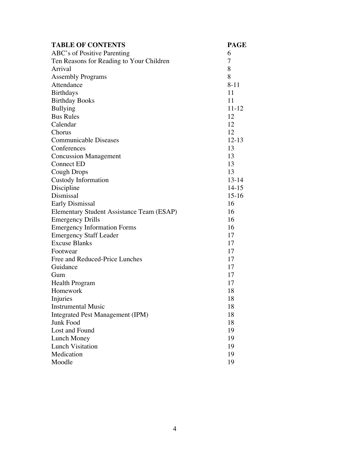| <b>TABLE OF CONTENTS</b>                  | <b>PAGE</b> |  |
|-------------------------------------------|-------------|--|
| ABC's of Positive Parenting               | 6           |  |
| Ten Reasons for Reading to Your Children  | 7           |  |
| Arrival                                   | 8           |  |
| <b>Assembly Programs</b>                  | 8           |  |
| Attendance                                | $8 - 11$    |  |
| <b>Birthdays</b>                          | 11          |  |
| <b>Birthday Books</b>                     | 11          |  |
| <b>Bullying</b>                           | 11-12       |  |
| <b>Bus Rules</b>                          | 12          |  |
| Calendar                                  | 12          |  |
| Chorus                                    | 12          |  |
| <b>Communicable Diseases</b>              | $12 - 13$   |  |
| Conferences                               | 13          |  |
| <b>Concussion Management</b>              | 13          |  |
| <b>Connect ED</b>                         | 13          |  |
| <b>Cough Drops</b>                        | 13          |  |
| <b>Custody Information</b>                | $13 - 14$   |  |
| Discipline                                | $14 - 15$   |  |
| Dismissal                                 | $15-16$     |  |
| <b>Early Dismissal</b>                    | 16          |  |
| Elementary Student Assistance Team (ESAP) | 16          |  |
| <b>Emergency Drills</b>                   | 16          |  |
| <b>Emergency Information Forms</b>        | 16          |  |
| <b>Emergency Staff Leader</b>             | 17          |  |
| <b>Excuse Blanks</b>                      | 17          |  |
| Footwear                                  | 17          |  |
| Free and Reduced-Price Lunches            | 17          |  |
| Guidance                                  | 17          |  |
| Gum                                       | 17          |  |
| <b>Health Program</b>                     | 17          |  |
| Homework                                  | 18          |  |
| Injuries                                  | 18          |  |
| <b>Instrumental Music</b>                 | 18          |  |
| <b>Integrated Pest Management (IPM)</b>   | 18          |  |
| <b>Junk Food</b>                          | 18          |  |
| Lost and Found                            | 19          |  |
| <b>Lunch Money</b>                        | 19          |  |
| <b>Lunch Visitation</b>                   | 19          |  |
| Medication                                | 19          |  |
| Moodle                                    | 19          |  |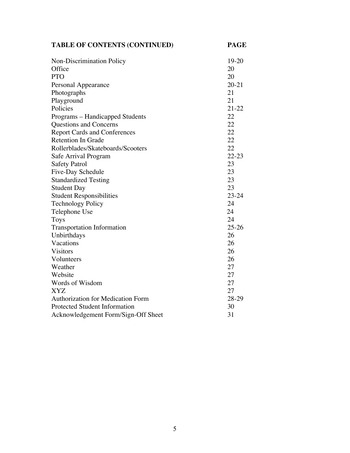| <b>TABLE OF CONTENTS (CONTINUED)</b>     | <b>PAGE</b> |
|------------------------------------------|-------------|
| Non-Discrimination Policy                | 19-20       |
| Office                                   | 20          |
| <b>PTO</b>                               | 20          |
| Personal Appearance                      | $20 - 21$   |
| Photographs                              | 21          |
| Playground                               | 21          |
| Policies                                 | $21 - 22$   |
| Programs – Handicapped Students          | 22          |
| Questions and Concerns                   | 22          |
| <b>Report Cards and Conferences</b>      | 22          |
| <b>Retention In Grade</b>                | 22          |
| Rollerblades/Skateboards/Scooters        | 22          |
| Safe Arrival Program                     | $22 - 23$   |
| <b>Safety Patrol</b>                     | 23          |
| Five-Day Schedule                        | 23          |
| <b>Standardized Testing</b>              | 23          |
| <b>Student Day</b>                       | 23          |
| <b>Student Responsibilities</b>          | $23 - 24$   |
| <b>Technology Policy</b>                 | 24          |
| Telephone Use                            | 24          |
| <b>Toys</b>                              | 24          |
| <b>Transportation Information</b>        | $25 - 26$   |
| Unbirthdays                              | 26          |
| Vacations                                | 26          |
| <b>Visitors</b>                          | 26          |
| Volunteers                               | 26          |
| Weather                                  | 27          |
| Website                                  | 27          |
| Words of Wisdom                          | 27          |
| <b>XYZ</b>                               | 27          |
| <b>Authorization for Medication Form</b> | 28-29       |
| <b>Protected Student Information</b>     | 30          |
| Acknowledgement Form/Sign-Off Sheet      | 31          |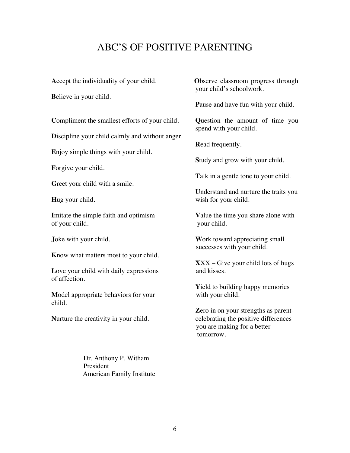### ABC'S OF POSITIVE PARENTING

**A**ccept the individuality of your child. **O**bserve classroom progress through

**B**elieve in your child.

**C**ompliment the smallest efforts of your child. **Q**uestion the amount of time you

**D**iscipline your child calmly and without anger.

**E**njoy simple things with your child.

**F**orgive your child.

**Greet your child with a smile.** 

**I**mitate the simple faith and optimism **Value the time you share alone with** of your child. your child.

**K**now what matters most to your child.

Love your child with daily expressions and kisses. of affection.

**Model appropriate behaviors for your** with your child. child.

Dr. Anthony P. Witham President American Family Institute your child's schoolwork.

**P**ause and have fun with your child.

spend with your child.

**R**ead frequently.

**S**tudy and grow with your child.

**T**alk in a gentle tone to your child.

**U**nderstand and nurture the traits you **Hug** your child. **We use that the same of the same wish for your child.** 

**Joke with your child. Work toward appreciating small** successes with your child.

**X**XX – Give your child lots of hugs

**Y**ield to building happy memories

**Z**ero in on your strengths as parent-**Nurture the creativity in your child.** celebrating the positive differences you are making for a better tomorrow.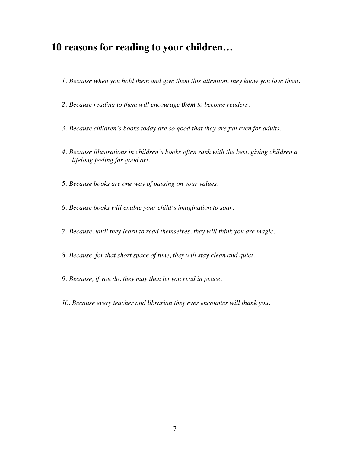#### **10 reasons for reading to your children…**

- *1. Because when you hold them and give them this attention, they know you love them.*
- *2. Because reading to them will encourage them to become readers.*
- *3. Because children's books today are so good that they are fun even for adults.*
- *4. Because illustrations in children's books often rank with the best, giving children a lifelong feeling for good art.*
- *5. Because books are one way of passing on your values.*
- *6. Because books will enable your child's imagination to soar.*
- *7. Because, until they learn to read themselves, they will think you are magic.*
- *8. Because, for that short space of time, they will stay clean and quiet.*
- *9. Because, if you do, they may then let you read in peace.*
- *10. Because every teacher and librarian they ever encounter will thank you.*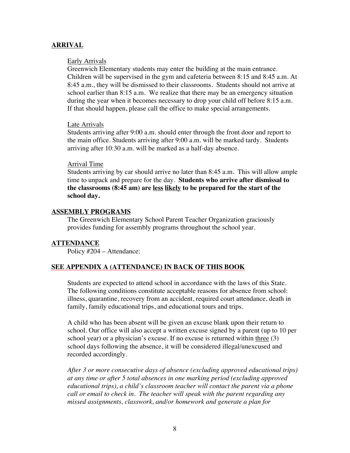#### **ARRIVAL**

#### Early Arrivals

Greenwich Elementary students may enter the building at the main entrance. Children will be supervised in the gym and cafeteria between 8:15 and 8:45 a.m. At 8:45 a.m., they will be dismissed to their classrooms. Students should not arrive at school earlier than 8:15 a.m. We realize that there may be an emergency situation during the year when it becomes necessary to drop your child off before 8:15 a.m. If that should happen, please call the office to make special arrangements.

#### Late Arrivals

Students arriving after 9:00 a.m. should enter through the front door and report to the main office. Students arriving after 9:00 a.m. will be marked tardy. Students arriving after 10:30 a.m. will be marked as a half-day absence.

#### Arrival Time

Students arriving by car should arrive no later than 8:45 a.m. This will allow ample time to unpack and prepare for the day. **Students who arrive after dismissal to the classrooms (8:45 am) are less likely to be prepared for the start of the school day.**

#### **ASSEMBLY PROGRAMS**

The Greenwich Elementary School Parent Teacher Organization graciously provides funding for assembly programs throughout the school year.

#### **ATTENDANCE**

Policy #204 – Attendance:

#### **SEE APPENDIX A (ATTENDANCE) IN BACK OF THIS BOOK**

Students are expected to attend school in accordance with the laws of this State. The following conditions constitute acceptable reasons for absence from school: illness, quarantine, recovery from an accident, required court attendance, death in family, family educational trips, and educational tours and trips.

A child who has been absent will be given an excuse blank upon their return to school. Our office will also accept a written excuse signed by a parent (up to 10 per school year) or a physician's excuse. If no excuse is returned within three (3) school days following the absence, it will be considered illegal/unexcused and recorded accordingly.

*After 3 or more consecutive days of absence (excluding approved educational trips) at any time or after 5 total absences in one marking period (excluding approved educational trips), a child's classroom teacher will contact the parent via a phone call or email to check in. The teacher will speak with the parent regarding any missed assignments, classwork, and/or homework and generate a plan for*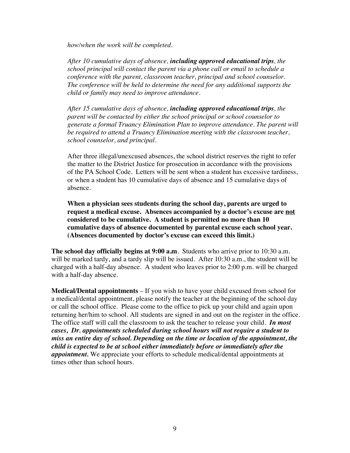*how/when the work will be completed.* 

*After 10 cumulative days of absence, including approved educational trips, the school principal will contact the parent via a phone call or email to schedule a conference with the parent, classroom teacher, principal and school counselor. The conference will be held to determine the need for any additional supports the child or family may need to improve attendance.*

*After 15 cumulative days of absence, including approved educational trips, the parent will be contacted by either the school principal or school counselor to generate a formal Truancy Elimination Plan to improve attendance. The parent will be required to attend a Truancy Elimination meeting with the classroom teacher, school counselor, and principal.* 

After three illegal/unexcused absences, the school district reserves the right to refer the matter to the District Justice for prosecution in accordance with the provisions of the PA School Code. Letters will be sent when a student has excessive tardiness, or when a student has 10 cumulative days of absence and 15 cumulative days of absence.

**When a physician sees students during the school day, parents are urged to request a medical excuse. Absences accompanied by a doctor's excuse are not considered to be cumulative. A student is permitted no more than 10 cumulative days of absence documented by parental excuse each school year. (Absences documented by doctor's excuse can exceed this limit.)**

**The school day officially begins at 9:00 a.m**. Students who arrive prior to 10:30 a.m. will be marked tardy, and a tardy slip will be issued. After 10:30 a.m., the student will be charged with a half-day absence. A student who leaves prior to 2:00 p.m. will be charged with a half-day absence.

**Medical/Dental appointments** – If you wish to have your child excused from school for a medical/dental appointment, please notify the teacher at the beginning of the school day or call the school office. Please come to the office to pick up your child and again upon returning her/him to school. All students are signed in and out on the register in the office. The office staff will call the classroom to ask the teacher to release your child. *In most cases, Dr. appointments scheduled during school hours will not require a student to miss an entire day of school. Depending on the time or location of the appointment, the child is expected to be at school either immediately before or immediately after the appointment.* We appreciate your efforts to schedule medical/dental appointments at times other than school hours.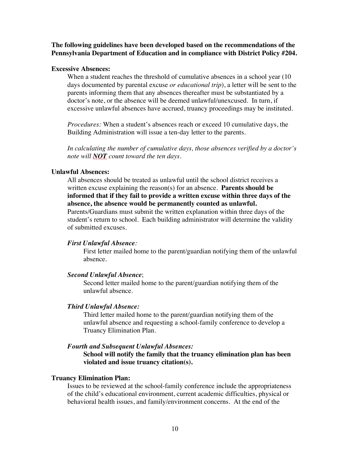#### **The following guidelines have been developed based on the recommendations of the Pennsylvania Department of Education and in compliance with District Policy #204.**

#### **Excessive Absences:**

When a student reaches the threshold of cumulative absences in a school year (10) days documented by parental excuse *or educational trip*), a letter will be sent to the parents informing them that any absences thereafter must be substantiated by a doctor's note, or the absence will be deemed unlawful/unexcused. In turn, if excessive unlawful absences have accrued, truancy proceedings may be instituted.

*Procedures:* When a student's absences reach or exceed 10 cumulative days, the Building Administration will issue a ten-day letter to the parents.

*In calculating the number of cumulative days, those absences verified by a doctor's note will NOT count toward the ten days.*

#### **Unlawful Absences:**

All absences should be treated as unlawful until the school district receives a written excuse explaining the reason(s) for an absence. **Parents should be informed that if they fail to provide a written excuse within three days of the absence, the absence would be permanently counted as unlawful.**

Parents/Guardians must submit the written explanation within three days of the student's return to school. Each building administrator will determine the validity of submitted excuses.

#### *First Unlawful Absence:*

First letter mailed home to the parent/guardian notifying them of the unlawful absence.

#### *Second Unlawful Absence*;

Second letter mailed home to the parent/guardian notifying them of the unlawful absence.

#### *Third Unlawful Absence:*

Third letter mailed home to the parent/guardian notifying them of the unlawful absence and requesting a school-family conference to develop a Truancy Elimination Plan.

#### *Fourth and Subsequent Unlawful Absences:*

**School will notify the family that the truancy elimination plan has been violated and issue truancy citation(s).**

#### **Truancy Elimination Plan:**

Issues to be reviewed at the school-family conference include the appropriateness of the child's educational environment, current academic difficulties, physical or behavioral health issues, and family/environment concerns. At the end of the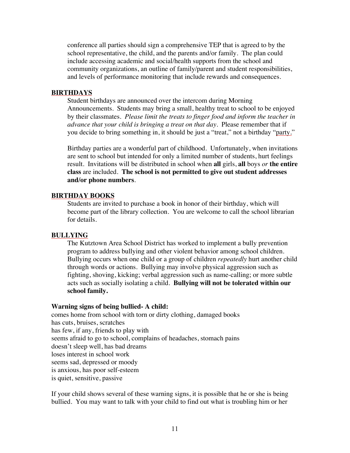conference all parties should sign a comprehensive TEP that is agreed to by the school representative, the child, and the parents and/or family. The plan could include accessing academic and social/health supports from the school and community organizations, an outline of family/parent and student responsibilities, and levels of performance monitoring that include rewards and consequences.

#### **BIRTHDAYS**

Student birthdays are announced over the intercom during Morning Announcements. Students may bring a small, healthy treat to school to be enjoyed by their classmates. *Please limit the treats to finger food and inform the teacher in advance that your child is bringing a treat on that day.* Please remember that if you decide to bring something in, it should be just a "treat," not a birthday "party."

Birthday parties are a wonderful part of childhood. Unfortunately, when invitations are sent to school but intended for only a limited number of students, hurt feelings result. Invitations will be distributed in school when **all** girls, **all** boys *or* **the entire class** are included. **The school is not permitted to give out student addresses and/or phone numbers**.

#### **BIRTHDAY BOOKS**

Students are invited to purchase a book in honor of their birthday, which will become part of the library collection. You are welcome to call the school librarian for details.

#### **BULLYING**

The Kutztown Area School District has worked to implement a bully prevention program to address bullying and other violent behavior among school children. Bullying occurs when one child or a group of children *repeatedly* hurt another child through words or actions. Bullying may involve physical aggression such as fighting, shoving, kicking; verbal aggression such as name-calling; or more subtle acts such as socially isolating a child. **Bullying will not be tolerated within our school family.**

#### **Warning signs of being bullied- A child:**

comes home from school with torn or dirty clothing, damaged books has cuts, bruises, scratches has few, if any, friends to play with seems afraid to go to school, complains of headaches, stomach pains doesn't sleep well, has bad dreams loses interest in school work seems sad, depressed or moody is anxious, has poor self-esteem is quiet, sensitive, passive

If your child shows several of these warning signs, it is possible that he or she is being bullied. You may want to talk with your child to find out what is troubling him or her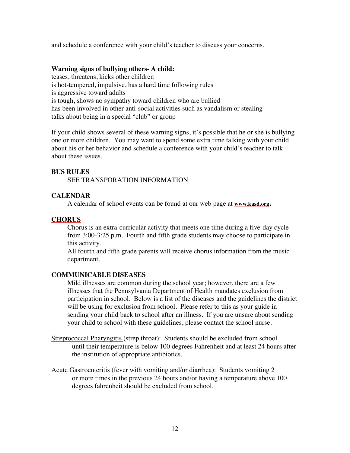and schedule a conference with your child's teacher to discuss your concerns.

#### **Warning signs of bullying others- A child:**

teases, threatens, kicks other children is hot-tempered, impulsive, has a hard time following rules is aggressive toward adults is tough, shows no sympathy toward children who are bullied has been involved in other anti-social activities such as vandalism or stealing talks about being in a special "club" or group

If your child shows several of these warning signs, it's possible that he or she is bullying one or more children. You may want to spend some extra time talking with your child about his or her behavior and schedule a conference with your child's teacher to talk about these issues.

#### **BUS RULES**

SEE TRANSPORATION INFORMATION

#### **CALENDAR**

A calendar of school events can be found at our web page at **www.kasd.org.** 

#### **CHORUS**

Chorus is an extra-curricular activity that meets one time during a five-day cycle from 3:00-3:25 p.m. Fourth and fifth grade students may choose to participate in this activity.

All fourth and fifth grade parents will receive chorus information from the music department.

#### **COMMUNICABLE DISEASES**

Mild illnesses are common during the school year; however, there are a few illnesses that the Pennsylvania Department of Health mandates exclusion from participation in school. Below is a list of the diseases and the guidelines the district will be using for exclusion from school. Please refer to this as your guide in sending your child back to school after an illness. If you are unsure about sending your child to school with these guidelines, please contact the school nurse.

- Streptococcal Pharyngitis (strep throat): Students should be excluded from school until their temperature is below 100 degrees Fahrenheit and at least 24 hours after the institution of appropriate antibiotics.
- Acute Gastroenteritis (fever with vomiting and/or diarrhea): Students vomiting 2 or more times in the previous 24 hours and/or having a temperature above 100 degrees fahrenheit should be excluded from school.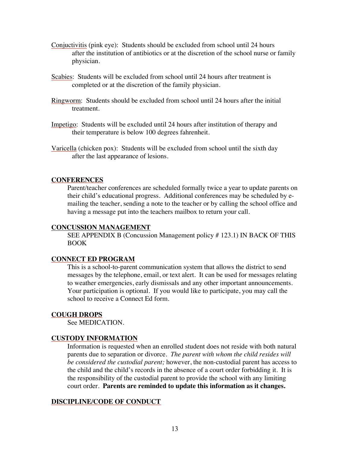- Conjuctivitis (pink eye): Students should be excluded from school until 24 hours after the institution of antibiotics or at the discretion of the school nurse or family physician.
- Scabies: Students will be excluded from school until 24 hours after treatment is completed or at the discretion of the family physician.
- Ringworm: Students should be excluded from school until 24 hours after the initial treatment.
- Impetigo: Students will be excluded until 24 hours after institution of therapy and their temperature is below 100 degrees fahrenheit.
- Varicella (chicken pox): Students will be excluded from school until the sixth day after the last appearance of lesions.

#### **CONFERENCES**

Parent/teacher conferences are scheduled formally twice a year to update parents on their child's educational progress. Additional conferences may be scheduled by emailing the teacher, sending a note to the teacher or by calling the school office and having a message put into the teachers mailbox to return your call.

#### **CONCUSSION MANAGEMENT**

SEE APPENDIX B (Concussion Management policy # 123.1) IN BACK OF THIS BOOK

#### **CONNECT ED PROGRAM**

This is a school-to-parent communication system that allows the district to send messages by the telephone, email, or text alert. It can be used for messages relating to weather emergencies, early dismissals and any other important announcements. Your participation is optional. If you would like to participate, you may call the school to receive a Connect Ed form.

#### **COUGH DROPS**

See MEDICATION.

#### **CUSTODY INFORMATION**

Information is requested when an enrolled student does not reside with both natural parents due to separation or divorce. *The parent with whom the child resides will be considered the custodial parent;* however, the non-custodial parent has access to the child and the child's records in the absence of a court order forbidding it. It is the responsibility of the custodial parent to provide the school with any limiting court order. **Parents are reminded to update this information as it changes.**

#### **DISCIPLINE/CODE OF CONDUCT**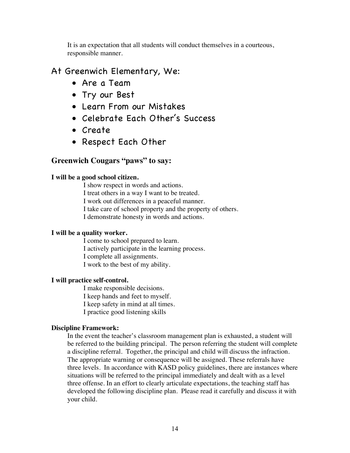It is an expectation that all students will conduct themselves in a courteous, responsible manner.

#### At Greenwich Elementary, We:

- Are a Team
- Try our Best
- Learn From our Mistakes
- Celebrate Each Other's Success
- Create
- Respect Each Other

#### **Greenwich Cougars "paws" to say:**

#### **I will be a good school citizen.**

I show respect in words and actions. I treat others in a way I want to be treated. I work out differences in a peaceful manner. I take care of school property and the property of others. I demonstrate honesty in words and actions.

#### **I will be a quality worker.**

I come to school prepared to learn. I actively participate in the learning process. I complete all assignments. I work to the best of my ability.

#### **I will practice self-control.**

I make responsible decisions. I keep hands and feet to myself. I keep safety in mind at all times. I practice good listening skills

#### **Discipline Framework:**

In the event the teacher's classroom management plan is exhausted, a student will be referred to the building principal. The person referring the student will complete a discipline referral. Together, the principal and child will discuss the infraction. The appropriate warning or consequence will be assigned. These referrals have three levels. In accordance with KASD policy guidelines, there are instances where situations will be referred to the principal immediately and dealt with as a level three offense. In an effort to clearly articulate expectations, the teaching staff has developed the following discipline plan. Please read it carefully and discuss it with your child.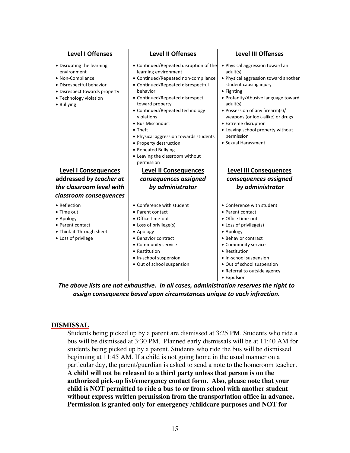| <b>Level I Offenses</b>                                                                                                                                           | <b>Level II Offenses</b>                                                                                                                                                                                                                                                                                                                                                                                                                  | <b>Level III Offenses</b>                                                                                                                                                                                                                                                                                                                               |
|-------------------------------------------------------------------------------------------------------------------------------------------------------------------|-------------------------------------------------------------------------------------------------------------------------------------------------------------------------------------------------------------------------------------------------------------------------------------------------------------------------------------------------------------------------------------------------------------------------------------------|---------------------------------------------------------------------------------------------------------------------------------------------------------------------------------------------------------------------------------------------------------------------------------------------------------------------------------------------------------|
| • Disrupting the learning<br>environment<br>• Non-Compliance<br>· Disrespectful behavior<br>• Disrespect towards property<br>• Technology violation<br>• Bullying | • Continued/Repeated disruption of the<br>learning environment<br>• Continued/Repeated non-compliance<br>• Continued/Repeated disrespectful<br>behavior<br>• Continued/Repeated disrespect<br>toward property<br>• Continued/Repeated technology<br>violations<br>• Bus Misconduct<br>• Theft<br>• Physical aggression towards students<br>• Property destruction<br>• Repeated Bullying<br>• Leaving the classroom without<br>permission | • Physical aggression toward an<br>adult(s)<br>• Physical aggression toward another<br>student causing injury<br>• Fighting<br>• Profanity/Abusive language toward<br>adult(s)<br>• Possession of any firearm(s)/<br>weapons (or look-alike) or drugs<br>• Extreme disruption<br>• Leaving school property without<br>permission<br>• Sexual Harassment |
| <b>Level I Consequences</b>                                                                                                                                       | <b>Level II Consequences</b>                                                                                                                                                                                                                                                                                                                                                                                                              | <b>Level III Consequences</b>                                                                                                                                                                                                                                                                                                                           |
| addressed by teacher at                                                                                                                                           | consequences assigned                                                                                                                                                                                                                                                                                                                                                                                                                     | consequences assigned                                                                                                                                                                                                                                                                                                                                   |
| the classroom level with                                                                                                                                          | by administrator                                                                                                                                                                                                                                                                                                                                                                                                                          | by administrator                                                                                                                                                                                                                                                                                                                                        |
| classroom consequences                                                                                                                                            |                                                                                                                                                                                                                                                                                                                                                                                                                                           |                                                                                                                                                                                                                                                                                                                                                         |
| • Reflection<br>• Time out<br>• Apology<br>• Parent contact                                                                                                       | • Conference with student<br>• Parent contact<br>• Office time-out<br>• Loss of privilege(s)                                                                                                                                                                                                                                                                                                                                              | • Conference with student<br>• Parent contact<br>• Office time-out<br>• Loss of privilege(s)                                                                                                                                                                                                                                                            |

The above lists are not exhaustive. In all cases, administration reserves the right to *assign consequence based upon circumstances unique to each infraction.*

#### **DISMISSAL**

Students being picked up by a parent are dismissed at 3:25 PM. Students who ride a bus will be dismissed at 3:30 PM. Planned early dismissals will be at 11:40 AM for students being picked up by a parent. Students who ride the bus will be dismissed beginning at 11:45 AM. If a child is not going home in the usual manner on a particular day, the parent/guardian is asked to send a note to the homeroom teacher. **A child will not be released to a third party unless that person is on the authorized pick-up list/emergency contact form. Also, please note that your child is NOT permitted to ride a bus to or from school with another student without express written permission from the transportation office in advance. Permission is granted only for emergency /childcare purposes and NOT for**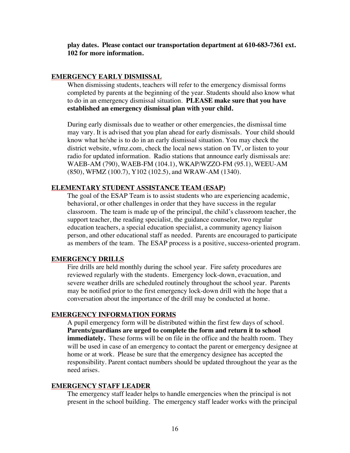**play dates. Please contact our transportation department at 610-683-7361 ext. 102 for more information.**

#### **EMERGENCY EARLY DISMISSAL**

When dismissing students, teachers will refer to the emergency dismissal forms completed by parents at the beginning of the year. Students should also know what to do in an emergency dismissal situation. **PLEASE make sure that you have established an emergency dismissal plan with your child.**

During early dismissals due to weather or other emergencies, the dismissal time may vary. It is advised that you plan ahead for early dismissals. Your child should know what he/she is to do in an early dismissal situation. You may check the district website, wfmz.com, check the local news station on TV, or listen to your radio for updated information. Radio stations that announce early dismissals are: WAEB-AM (790), WAEB-FM (104.1), WKAP/WZZO-FM (95.1), WEEU-AM (850), WFMZ (100.7), Y102 (102.5), and WRAW-AM (1340).

#### **ELEMENTARY STUDENT ASSISTANCE TEAM (ESAP)**

The goal of the ESAP Team is to assist students who are experiencing academic, behavioral, or other challenges in order that they have success in the regular classroom. The team is made up of the principal, the child's classroom teacher, the support teacher, the reading specialist, the guidance counselor, two regular education teachers, a special education specialist, a community agency liaison person, and other educational staff as needed. Parents are encouraged to participate as members of the team. The ESAP process is a positive, success-oriented program.

#### **EMERGENCY DRILLS**

Fire drills are held monthly during the school year. Fire safety procedures are reviewed regularly with the students. Emergency lock-down, evacuation, and severe weather drills are scheduled routinely throughout the school year. Parents may be notified prior to the first emergency lock-down drill with the hope that a conversation about the importance of the drill may be conducted at home.

#### **EMERGENCY INFORMATION FORMS**

A pupil emergency form will be distributed within the first few days of school. **Parents/guardians are urged to complete the form and return it to school immediately.** These forms will be on file in the office and the health room. They will be used in case of an emergency to contact the parent or emergency designee at home or at work. Please be sure that the emergency designee has accepted the responsibility. Parent contact numbers should be updated throughout the year as the need arises.

#### **EMERGENCY STAFF LEADER**

The emergency staff leader helps to handle emergencies when the principal is not present in the school building. The emergency staff leader works with the principal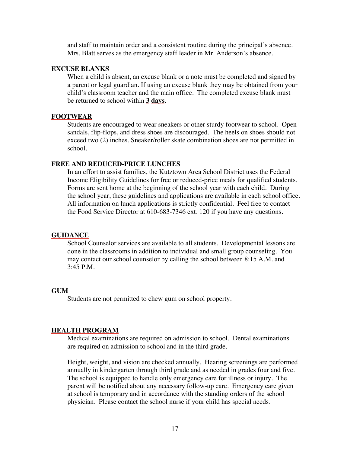and staff to maintain order and a consistent routine during the principal's absence. Mrs. Blatt serves as the emergency staff leader in Mr. Anderson's absence.

#### **EXCUSE BLANKS**

When a child is absent, an excuse blank or a note must be completed and signed by a parent or legal guardian. If using an excuse blank they may be obtained from your child's classroom teacher and the main office. The completed excuse blank must be returned to school within **3 days**.

#### **FOOTWEAR**

Students are encouraged to wear sneakers or other sturdy footwear to school. Open sandals, flip-flops, and dress shoes are discouraged. The heels on shoes should not exceed two (2) inches. Sneaker/roller skate combination shoes are not permitted in school.

#### **FREE AND REDUCED-PRICE LUNCHES**

In an effort to assist families, the Kutztown Area School District uses the Federal Income Eligibility Guidelines for free or reduced-price meals for qualified students. Forms are sent home at the beginning of the school year with each child. During the school year, these guidelines and applications are available in each school office. All information on lunch applications is strictly confidential. Feel free to contact the Food Service Director at 610-683-7346 ext. 120 if you have any questions.

#### **GUIDANCE**

School Counselor services are available to all students. Developmental lessons are done in the classrooms in addition to individual and small group counseling. You may contact our school counselor by calling the school between 8:15 A.M. and 3:45 P.M.

#### **GUM**

Students are not permitted to chew gum on school property.

#### **HEALTH PROGRAM**

Medical examinations are required on admission to school. Dental examinations are required on admission to school and in the third grade.

Height, weight, and vision are checked annually. Hearing screenings are performed annually in kindergarten through third grade and as needed in grades four and five. The school is equipped to handle only emergency care for illness or injury. The parent will be notified about any necessary follow-up care. Emergency care given at school is temporary and in accordance with the standing orders of the school physician. Please contact the school nurse if your child has special needs.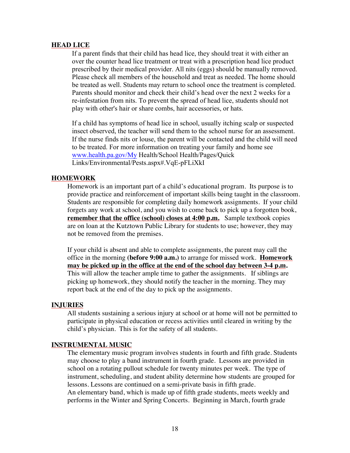#### **HEAD LICE**

If a parent finds that their child has head lice, they should treat it with either an over the counter head lice treatment or treat with a prescription head lice product prescribed by their medical provider. All nits (eggs) should be manually removed. Please check all members of the household and treat as needed. The home should be treated as well. Students may return to school once the treatment is completed. Parents should monitor and check their child's head over the next 2 weeks for a re-infestation from nits. To prevent the spread of head lice, students should not play with other's hair or share combs, hair accessories, or hats.

If a child has symptoms of head lice in school, usually itching scalp or suspected insect observed, the teacher will send them to the school nurse for an assessment. If the nurse finds nits or louse, the parent will be contacted and the child will need to be treated. For more information on treating your family and home see www.health.pa.gov/My Health/School Health/Pages/Quick Links/Environmental/Pests.aspx#.VqE-pFLiXkI

#### **HOMEWORK**

Homework is an important part of a child's educational program. Its purpose is to provide practice and reinforcement of important skills being taught in the classroom. Students are responsible for completing daily homework assignments. If your child forgets any work at school, and you wish to come back to pick up a forgotten book, **remember that the office (school) closes at 4:00 p.m.** Sample textbook copies are on loan at the Kutztown Public Library for students to use; however, they may not be removed from the premises.

If your child is absent and able to complete assignments, the parent may call the office in the morning **(before 9:00 a.m.)** to arrange for missed work. **Homework may be picked up in the office at the end of the school day between 3-4 p.m.** This will allow the teacher ample time to gather the assignments. If siblings are picking up homework, they should notify the teacher in the morning. They may report back at the end of the day to pick up the assignments.

#### **INJURIES**

All students sustaining a serious injury at school or at home will not be permitted to participate in physical education or recess activities until cleared in writing by the child's physician. This is for the safety of all students.

#### **INSTRUMENTAL MUSIC**

The elementary music program involves students in fourth and fifth grade. Students may choose to play a band instrument in fourth grade. Lessons are provided in school on a rotating pullout schedule for twenty minutes per week. The type of instrument, scheduling, and student ability determine how students are grouped for lessons. Lessons are continued on a semi-private basis in fifth grade. An elementary band, which is made up of fifth grade students, meets weekly and performs in the Winter and Spring Concerts. Beginning in March, fourth grade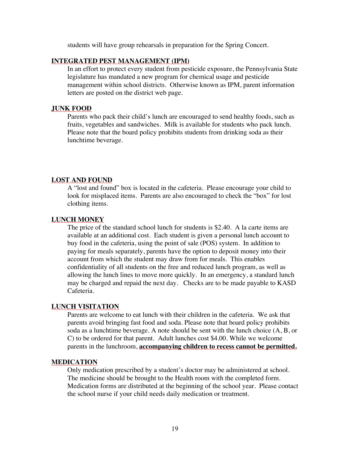students will have group rehearsals in preparation for the Spring Concert.

#### **INTEGRATED PEST MANAGEMENT (IPM)**

In an effort to protect every student from pesticide exposure, the Pennsylvania State legislature has mandated a new program for chemical usage and pesticide management within school districts. Otherwise known as IPM, parent information letters are posted on the district web page.

#### **JUNK FOOD**

Parents who pack their child's lunch are encouraged to send healthy foods, such as fruits, vegetables and sandwiches. Milk is available for students who pack lunch. Please note that the board policy prohibits students from drinking soda as their lunchtime beverage.

#### **LOST AND FOUND**

A "lost and found" box is located in the cafeteria. Please encourage your child to look for misplaced items. Parents are also encouraged to check the "box" for lost clothing items.

#### **LUNCH MONEY**

The price of the standard school lunch for students is \$2.40. A la carte items are available at an additional cost. Each student is given a personal lunch account to buy food in the cafeteria, using the point of sale (POS) system. In addition to paying for meals separately, parents have the option to deposit money into their account from which the student may draw from for meals. This enables confidentiality of all students on the free and reduced lunch program, as well as allowing the lunch lines to move more quickly. In an emergency, a standard lunch may be charged and repaid the next day. Checks are to be made payable to KASD Cafeteria.

#### **LUNCH VISITATION**

Parents are welcome to eat lunch with their children in the cafeteria. We ask that parents avoid bringing fast food and soda. Please note that board policy prohibits soda as a lunchtime beverage. A note should be sent with the lunch choice (A, B, or C) to be ordered for that parent. Adult lunches cost \$4.00. While we welcome parents in the lunchroom, **accompanying children to recess cannot be permitted.**

#### **MEDICATION**

Only medication prescribed by a student's doctor may be administered at school. The medicine should be brought to the Health room with the completed form. Medication forms are distributed at the beginning of the school year. Please contact the school nurse if your child needs daily medication or treatment.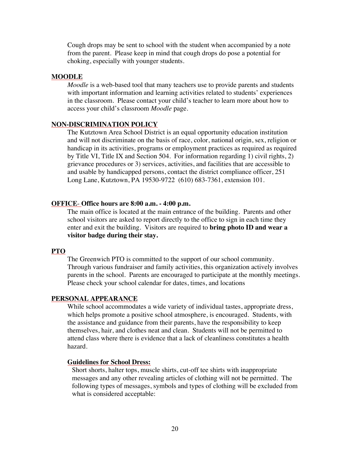Cough drops may be sent to school with the student when accompanied by a note from the parent. Please keep in mind that cough drops do pose a potential for choking, especially with younger students.

#### **MOODLE**

*Moodle* is a web-based tool that many teachers use to provide parents and students with important information and learning activities related to students' experiences in the classroom. Please contact your child's teacher to learn more about how to access your child's classroom *Moodle* page.

#### **NON-DISCRIMINATION POLICY**

The Kutztown Area School District is an equal opportunity education institution and will not discriminate on the basis of race, color, national origin, sex, religion or handicap in its activities, programs or employment practices as required as required by Title VI, Title IX and Section 504. For information regarding 1) civil rights, 2) grievance procedures or 3) services, activities, and facilities that are accessible to and usable by handicapped persons, contact the district compliance officer, 251 Long Lane, Kutztown, PA 19530-9722 (610) 683-7361, extension 101.

#### **OFFICE**- **Office hours are 8:00 a.m. - 4:00 p.m.**

The main office is located at the main entrance of the building. Parents and other school visitors are asked to report directly to the office to sign in each time they enter and exit the building. Visitors are required to **bring photo ID and wear a visitor badge during their stay.** 

#### **PTO**

The Greenwich PTO is committed to the support of our school community. Through various fundraiser and family activities, this organization actively involves parents in the school. Parents are encouraged to participate at the monthly meetings. Please check your school calendar for dates, times, and locations

#### **PERSONAL APPEARANCE**

While school accommodates a wide variety of individual tastes, appropriate dress, which helps promote a positive school atmosphere, is encouraged. Students, with the assistance and guidance from their parents, have the responsibility to keep themselves, hair, and clothes neat and clean. Students will not be permitted to attend class where there is evidence that a lack of cleanliness constitutes a health hazard.

#### **Guidelines for School Dress:**

Short shorts, halter tops, muscle shirts, cut-off tee shirts with inappropriate messages and any other revealing articles of clothing will not be permitted. The following types of messages, symbols and types of clothing will be excluded from what is considered acceptable: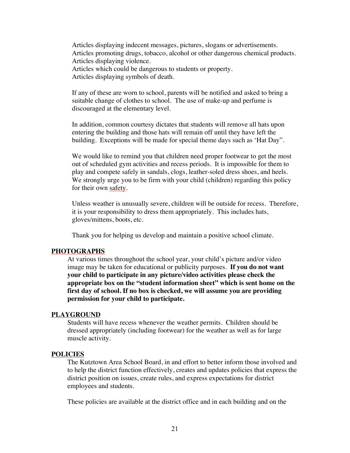Articles displaying indecent messages, pictures, slogans or advertisements. Articles promoting drugs, tobacco, alcohol or other dangerous chemical products. Articles displaying violence. Articles which could be dangerous to students or property. Articles displaying symbols of death.

If any of these are worn to school, parents will be notified and asked to bring a suitable change of clothes to school. The use of make-up and perfume is discouraged at the elementary level.

In addition, common courtesy dictates that students will remove all hats upon entering the building and those hats will remain off until they have left the building. Exceptions will be made for special theme days such as 'Hat Day".

We would like to remind you that children need proper footwear to get the most out of scheduled gym activities and recess periods. It is impossible for them to play and compete safely in sandals, clogs, leather-soled dress shoes, and heels. We strongly urge you to be firm with your child (children) regarding this policy for their own safety.

Unless weather is unusually severe, children will be outside for recess. Therefore, it is your responsibility to dress them appropriately. This includes hats, gloves/mittens, boots, etc.

Thank you for helping us develop and maintain a positive school climate.

#### **PHOTOGRAPHS**

At various times throughout the school year, your child's picture and/or video image may be taken for educational or publicity purposes. **If you do not want your child to participate in any picture/video activities please check the appropriate box on the "student information sheet" which is sent home on the first day of school. If no box is checked, we will assume you are providing permission for your child to participate.**

#### **PLAYGROUND**

Students will have recess whenever the weather permits. Children should be dressed appropriately (including footwear) for the weather as well as for large muscle activity.

#### **POLICIES**

The Kutztown Area School Board, in and effort to better inform those involved and to help the district function effectively, creates and updates policies that express the district position on issues, create rules, and express expectations for district employees and students.

These policies are available at the district office and in each building and on the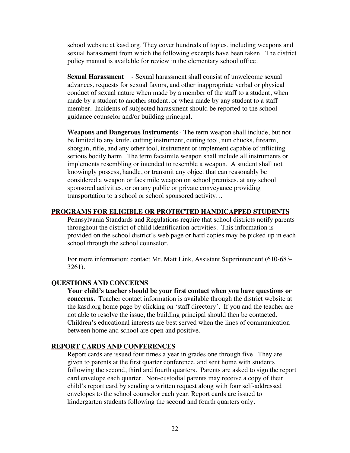school website at kasd.org. They cover hundreds of topics, including weapons and sexual harassment from which the following excerpts have been taken. The district policy manual is available for review in the elementary school office.

**Sexual Harassment** - Sexual harassment shall consist of unwelcome sexual advances, requests for sexual favors, and other inappropriate verbal or physical conduct of sexual nature when made by a member of the staff to a student, when made by a student to another student, or when made by any student to a staff member. Incidents of subjected harassment should be reported to the school guidance counselor and/or building principal.

**Weapons and Dangerous Instruments**- The term weapon shall include, but not be limited to any knife, cutting instrument, cutting tool, nun chucks, firearm, shotgun, rifle, and any other tool, instrument or implement capable of inflicting serious bodily harm. The term facsimile weapon shall include all instruments or implements resembling or intended to resemble a weapon. A student shall not knowingly possess, handle, or transmit any object that can reasonably be considered a weapon or facsimile weapon on school premises, at any school sponsored activities, or on any public or private conveyance providing transportation to a school or school sponsored activity…

#### **PROGRAMS FOR ELIGIBLE OR PROTECTED HANDICAPPED STUDENTS**

Pennsylvania Standards and Regulations require that school districts notify parents throughout the district of child identification activities. This information is provided on the school district's web page or hard copies may be picked up in each school through the school counselor.

For more information; contact Mr. Matt Link, Assistant Superintendent (610-683- 3261).

#### **QUESTIONS AND CONCERNS**

**Your child's teacher should be your first contact when you have questions or concerns.** Teacher contact information is available through the district website at the kasd.org home page by clicking on 'staff directory'. If you and the teacher are not able to resolve the issue, the building principal should then be contacted. Children's educational interests are best served when the lines of communication between home and school are open and positive.

#### **REPORT CARDS AND CONFERENCES**

Report cards are issued four times a year in grades one through five. They are given to parents at the first quarter conference, and sent home with students following the second, third and fourth quarters. Parents are asked to sign the report card envelope each quarter. Non-custodial parents may receive a copy of their child's report card by sending a written request along with four self-addressed envelopes to the school counselor each year. Report cards are issued to kindergarten students following the second and fourth quarters only.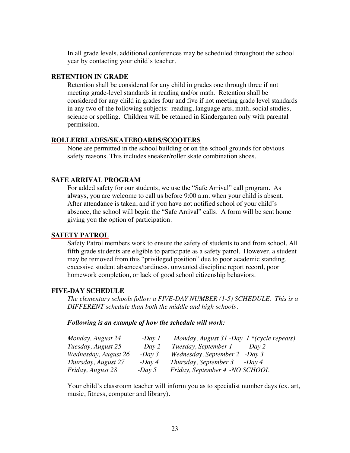In all grade levels, additional conferences may be scheduled throughout the school year by contacting your child's teacher.

#### **RETENTION IN GRADE**

Retention shall be considered for any child in grades one through three if not meeting grade-level standards in reading and/or math. Retention shall be considered for any child in grades four and five if not meeting grade level standards in any two of the following subjects: reading, language arts, math, social studies, science or spelling. Children will be retained in Kindergarten only with parental permission.

#### **ROLLERBLADES/SKATEBOARDS/SCOOTERS**

None are permitted in the school building or on the school grounds for obvious safety reasons. This includes sneaker/roller skate combination shoes.

#### **SAFE ARRIVAL PROGRAM**

For added safety for our students, we use the "Safe Arrival" call program. As always, you are welcome to call us before 9:00 a.m. when your child is absent. After attendance is taken, and if you have not notified school of your child's absence, the school will begin the "Safe Arrival" calls. A form will be sent home giving you the option of participation.

#### **SAFETY PATROL**

Safety Patrol members work to ensure the safety of students to and from school. All fifth grade students are eligible to participate as a safety patrol. However, a student may be removed from this "privileged position" due to poor academic standing, excessive student absences/tardiness, unwanted discipline report record, poor homework completion, or lack of good school citizenship behaviors.

#### **FIVE-DAY SCHEDULE**

*The elementary schools follow a FIVE-DAY NUMBER (1-5) SCHEDULE. This is a DIFFERENT schedule than both the middle and high schools.*

#### *Following is an example of how the schedule will work:*

| Monday, August 24        | $-Day1$     | Monday, August 31 -Day $1*(cycle$ repeats) |
|--------------------------|-------------|--------------------------------------------|
| Tuesday, August 25       | $-Day2$     | Tuesday, September 1<br>$-Dav2$            |
| Wednesday, August 26     | $-Day3$     | Wednesday, September 2 -Day 3              |
| Thursday, August 27      | $-Day \, 4$ | Thursday, September $3 - Day 4$            |
| <i>Friday, August 28</i> | $-Day 5$    | Friday, September 4 -NO SCHOOL             |

Your child's classroom teacher will inform you as to specialist number days (ex. art, music, fitness, computer and library).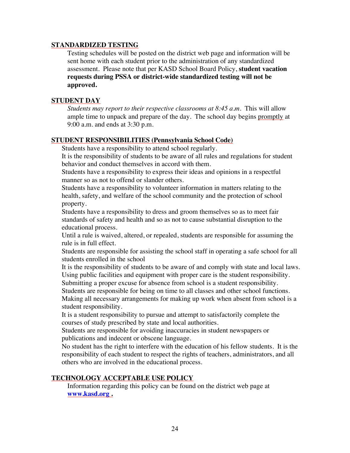#### **STANDARDIZED TESTING**

Testing schedules will be posted on the district web page and information will be sent home with each student prior to the administration of any standardized assessment. Please note that per KASD School Board Policy, **student vacation requests during PSSA or district-wide standardized testing will not be approved.**

#### **STUDENT DAY**

*Students may report to their respective classrooms at 8:45 a.m.* This will allow ample time to unpack and prepare of the day. The school day begins promptly at 9:00 a.m. and ends at 3:30 p.m.

#### **STUDENT RESPONSIBILITIES (Pennsylvania School Code)**

Students have a responsibility to attend school regularly.

It is the responsibility of students to be aware of all rules and regulations for student behavior and conduct themselves in accord with them.

Students have a responsibility to express their ideas and opinions in a respectful manner so as not to offend or slander others.

Students have a responsibility to volunteer information in matters relating to the health, safety, and welfare of the school community and the protection of school property.

Students have a responsibility to dress and groom themselves so as to meet fair standards of safety and health and so as not to cause substantial disruption to the educational process.

Until a rule is waived, altered, or repealed, students are responsible for assuming the rule is in full effect.

Students are responsible for assisting the school staff in operating a safe school for all students enrolled in the school

It is the responsibility of students to be aware of and comply with state and local laws. Using public facilities and equipment with proper care is the student responsibility.

Submitting a proper excuse for absence from school is a student responsibility.

Students are responsible for being on time to all classes and other school functions. Making all necessary arrangements for making up work when absent from school is a student responsibility.

It is a student responsibility to pursue and attempt to satisfactorily complete the courses of study prescribed by state and local authorities.

Students are responsible for avoiding inaccuracies in student newspapers or publications and indecent or obscene language.

No student has the right to interfere with the education of his fellow students. It is the responsibility of each student to respect the rights of teachers, administrators, and all others who are involved in the educational process.

#### **TECHNOLOGY ACCEPTABLE USE POLICY**

Information regarding this policy can be found on the district web page at **www.kasd.org .**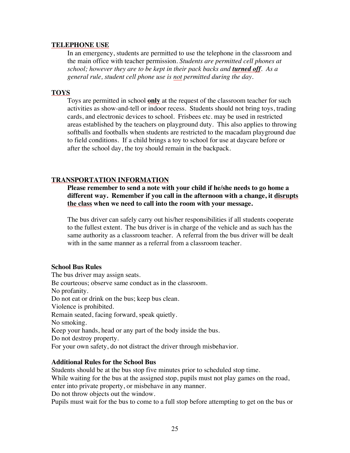#### **TELEPHONE USE**

In an emergency, students are permitted to use the telephone in the classroom and the main office with teacher permission. *Students are permitted cell phones at school; however they are to be kept in their pack backs and <i>turned off.* As a *general rule, student cell phone use is not permitted during the day.* 

#### **TOYS**

Toys are permitted in school **only** at the request of the classroom teacher for such activities as show-and-tell or indoor recess. Students should not bring toys, trading cards, and electronic devices to school. Frisbees etc. may be used in restricted areas established by the teachers on playground duty. This also applies to throwing softballs and footballs when students are restricted to the macadam playground due to field conditions. If a child brings a toy to school for use at daycare before or after the school day, the toy should remain in the backpack.

#### **TRANSPORTATION INFORMATION**

**Please remember to send a note with your child if he/she needs to go home a different way. Remember if you call in the afternoon with a change, it disrupts the class when we need to call into the room with your message.**

The bus driver can safely carry out his/her responsibilities if all students cooperate to the fullest extent. The bus driver is in charge of the vehicle and as such has the same authority as a classroom teacher. A referral from the bus driver will be dealt with in the same manner as a referral from a classroom teacher.

#### **School Bus Rules**

The bus driver may assign seats. Be courteous; observe same conduct as in the classroom. No profanity. Do not eat or drink on the bus; keep bus clean. Violence is prohibited. Remain seated, facing forward, speak quietly. No smoking. Keep your hands, head or any part of the body inside the bus. Do not destroy property. For your own safety, do not distract the driver through misbehavior.

#### **Additional Rules for the School Bus**

Students should be at the bus stop five minutes prior to scheduled stop time.

While waiting for the bus at the assigned stop, pupils must not play games on the road,

enter into private property, or misbehave in any manner.

Do not throw objects out the window.

Pupils must wait for the bus to come to a full stop before attempting to get on the bus or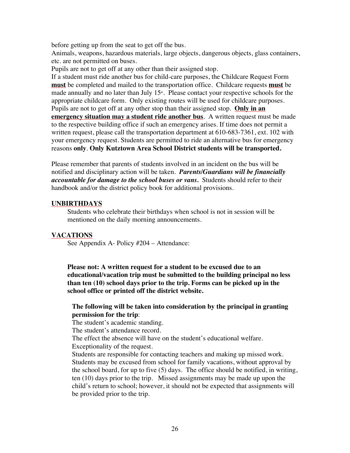before getting up from the seat to get off the bus.

Animals, weapons, hazardous materials, large objects, dangerous objects, glass containers, etc. are not permitted on buses.

Pupils are not to get off at any other than their assigned stop.

If a student must ride another bus for child-care purposes, the Childcare Request Form **must** be completed and mailed to the transportation office. Childcare requests **must** be made annually and no later than July  $15<sup>th</sup>$ . Please contact your respective schools for the appropriate childcare form. Only existing routes will be used for childcare purposes. Pupils are not to get off at any other stop than their assigned stop. **Only in an emergency situation may a student ride another bus**. A written request must be made to the respective building office if such an emergency arises. If time does not permit a written request, please call the transportation department at 610-683-7361, ext. 102 with your emergency request. Students are permitted to ride an alternative bus for emergency reasons **only**. **Only Kutztown Area School District students will be transported.**

Please remember that parents of students involved in an incident on the bus will be notified and disciplinary action will be taken. *Parents/Guardians will be financially accountable for damage to the school buses or vans.* Students should refer to their handbook and/or the district policy book for additional provisions.

#### **UNBIRTHDAYS**

Students who celebrate their birthdays when school is not in session will be mentioned on the daily morning announcements.

#### **VACATIONS**

See Appendix A- Policy #204 – Attendance:

**Please not: A written request for a student to be excused due to an educational/vacation trip must be submitted to the building principal no less than ten (10) school days prior to the trip. Forms can be picked up in the school office or printed off the district website.**

#### **The following will be taken into consideration by the principal in granting permission for the trip**:

The student's academic standing.

The student's attendance record.

The effect the absence will have on the student's educational welfare. Exceptionality of the request.

Students are responsible for contacting teachers and making up missed work. Students may be excused from school for family vacations, without approval by the school board, for up to five (5) days. The office should be notified, in writing, ten (10) days prior to the trip. Missed assignments may be made up upon the child's return to school; however, it should not be expected that assignments will be provided prior to the trip.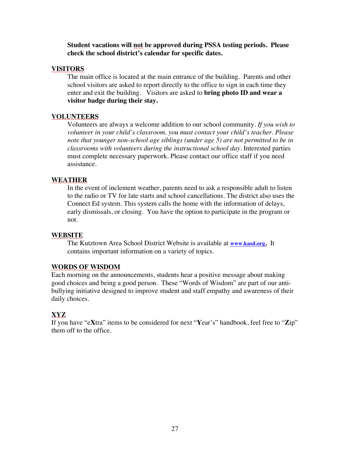**Student vacations will not be approved during PSSA testing periods. Please check the school district's calendar for specific dates.**

#### **VISITORS**

The main office is located at the main entrance of the building. Parents and other school visitors are asked to report directly to the office to sign in each time they enter and exit the building. Visitors are asked to **bring photo ID and wear a visitor badge during their stay.** 

#### **VOLUNTEERS**

Volunteers are always a welcome addition to our school community. *If you wish to volunteer in your child's classroom, you must contact your child's teacher. Please note that younger non-school age siblings (under age 5) are not permitted to be in classrooms with volunteers during the instructional school day.* Interested parties must complete necessary paperwork. Please contact our office staff if you need assistance.

#### **WEATHER**

In the event of inclement weather, parents need to ask a responsible adult to listen to the radio or TV for late starts and school cancellations. The district also uses the Connect Ed system. This system calls the home with the information of delays, early dismissals, or closing. You have the option to participate in the program or not.

#### **WEBSITE**

The Kutztown Area School District Website is available at **www.kasd.org.** It contains important information on a variety of topics.

#### **WORDS OF WISDOM**

Each morning on the announcements, students hear a positive message about making good choices and being a good person. These "Words of Wisdom" are part of our antibullying initiative designed to improve student and staff empathy and awareness of their daily choices.

#### **XYZ**

If you have "e**X**tra" items to be considered for next "**Y**ear's" handbook, feel free to "**Z**ip" them off to the office.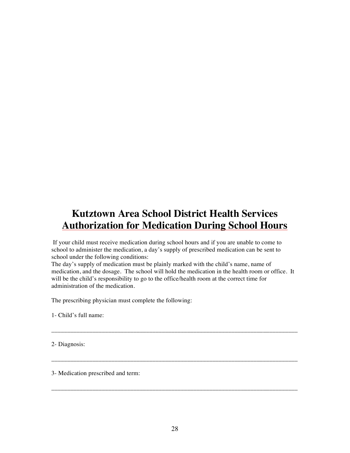### **Kutztown Area School District Health Services Authorization for Medication During School Hours**

If your child must receive medication during school hours and if you are unable to come to school to administer the medication, a day's supply of prescribed medication can be sent to school under the following conditions:

The day's supply of medication must be plainly marked with the child's name, name of medication, and the dosage. The school will hold the medication in the health room or office. It will be the child's responsibility to go to the office/health room at the correct time for administration of the medication.

\_\_\_\_\_\_\_\_\_\_\_\_\_\_\_\_\_\_\_\_\_\_\_\_\_\_\_\_\_\_\_\_\_\_\_\_\_\_\_\_\_\_\_\_\_\_\_\_\_\_\_\_\_\_\_\_\_\_\_\_\_\_\_\_\_\_\_\_\_\_\_\_\_\_\_\_\_\_

\_\_\_\_\_\_\_\_\_\_\_\_\_\_\_\_\_\_\_\_\_\_\_\_\_\_\_\_\_\_\_\_\_\_\_\_\_\_\_\_\_\_\_\_\_\_\_\_\_\_\_\_\_\_\_\_\_\_\_\_\_\_\_\_\_\_\_\_\_\_\_\_\_\_\_\_\_\_

\_\_\_\_\_\_\_\_\_\_\_\_\_\_\_\_\_\_\_\_\_\_\_\_\_\_\_\_\_\_\_\_\_\_\_\_\_\_\_\_\_\_\_\_\_\_\_\_\_\_\_\_\_\_\_\_\_\_\_\_\_\_\_\_\_\_\_\_\_\_\_\_\_\_\_\_\_\_

The prescribing physician must complete the following:

1- Child's full name:

2- Diagnosis:

3- Medication prescribed and term: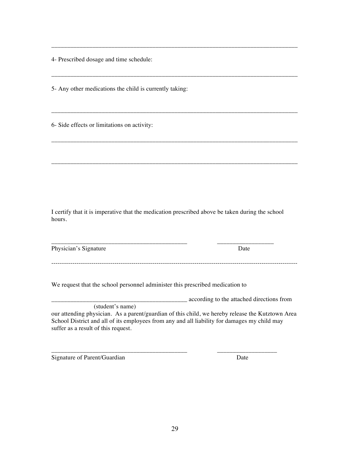4- Prescribed dosage and time schedule:

5- Any other medications the child is currently taking:

6- Side effects or limitations on activity:

I certify that it is imperative that the medication prescribed above be taken during the school hours.

\_\_\_\_\_\_\_\_\_\_\_\_\_\_\_\_\_\_\_\_\_\_\_\_\_\_\_\_\_\_\_\_\_\_\_\_\_\_\_\_\_\_\_ \_\_\_\_\_\_\_\_\_\_\_\_\_\_\_\_\_\_

\_\_\_\_\_\_\_\_\_\_\_\_\_\_\_\_\_\_\_\_\_\_\_\_\_\_\_\_\_\_\_\_\_\_\_\_\_\_\_\_\_\_\_\_\_\_\_\_\_\_\_\_\_\_\_\_\_\_\_\_\_\_\_\_\_\_\_\_\_\_\_\_\_\_\_\_\_\_

\_\_\_\_\_\_\_\_\_\_\_\_\_\_\_\_\_\_\_\_\_\_\_\_\_\_\_\_\_\_\_\_\_\_\_\_\_\_\_\_\_\_\_\_\_\_\_\_\_\_\_\_\_\_\_\_\_\_\_\_\_\_\_\_\_\_\_\_\_\_\_\_\_\_\_\_\_\_

\_\_\_\_\_\_\_\_\_\_\_\_\_\_\_\_\_\_\_\_\_\_\_\_\_\_\_\_\_\_\_\_\_\_\_\_\_\_\_\_\_\_\_\_\_\_\_\_\_\_\_\_\_\_\_\_\_\_\_\_\_\_\_\_\_\_\_\_\_\_\_\_\_\_\_\_\_\_

\_\_\_\_\_\_\_\_\_\_\_\_\_\_\_\_\_\_\_\_\_\_\_\_\_\_\_\_\_\_\_\_\_\_\_\_\_\_\_\_\_\_\_\_\_\_\_\_\_\_\_\_\_\_\_\_\_\_\_\_\_\_\_\_\_\_\_\_\_\_\_\_\_\_\_\_\_\_

\_\_\_\_\_\_\_\_\_\_\_\_\_\_\_\_\_\_\_\_\_\_\_\_\_\_\_\_\_\_\_\_\_\_\_\_\_\_\_\_\_\_\_\_\_\_\_\_\_\_\_\_\_\_\_\_\_\_\_\_\_\_\_\_\_\_\_\_\_\_\_\_\_\_\_\_\_\_

Physician's Signature Date

We request that the school personnel administer this prescribed medication to

\_\_\_\_\_\_\_\_\_\_\_\_\_\_\_\_\_\_\_\_\_\_\_\_\_\_\_\_\_\_\_\_\_\_\_\_\_\_\_\_\_\_\_ according to the attached directions from

---------------------------------------------------------------------------------------------------------------------

 (student's name) our attending physician. As a parent/guardian of this child, we hereby release the Kutztown Area School District and all of its employees from any and all liability for damages my child may suffer as a result of this request.

\_\_\_\_\_\_\_\_\_\_\_\_\_\_\_\_\_\_\_\_\_\_\_\_\_\_\_\_\_\_\_\_\_\_\_\_\_\_\_\_\_\_\_ \_\_\_\_\_\_\_\_\_\_\_\_\_\_\_\_\_\_\_

Signature of Parent/Guardian Date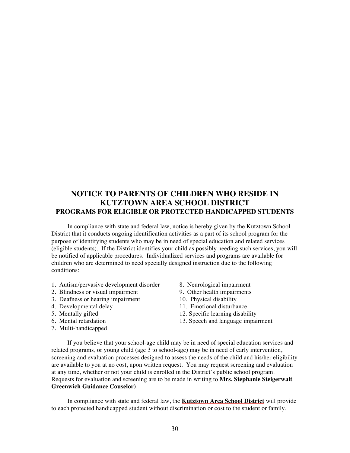#### **NOTICE TO PARENTS OF CHILDREN WHO RESIDE IN KUTZTOWN AREA SCHOOL DISTRICT PROGRAMS FOR ELIGIBLE OR PROTECTED HANDICAPPED STUDENTS**

In compliance with state and federal law, notice is hereby given by the Kutztown School District that it conducts ongoing identification activities as a part of its school program for the purpose of identifying students who may be in need of special education and related services (eligible students). If the District identifies your child as possibly needing such services, you will be notified of applicable procedures. Individualized services and programs are available for children who are determined to need specially designed instruction due to the following conditions:

- 1. Autism/pervasive development disorder 8. Neurological impairment<br>2. Blindness or visual impairment 9. Other health impairments
- 
- 2. Blindness or visual impairment 9. Other health impairment 3. Deafness or hearing impairment 10. Physical disability 3. Deafness or hearing impairment
- 4. Developmental delay 11. Emotional disturbance
- 
- 
- 7. Multi-handicapped
- 
- 
- 
- 
- 5. Mentally gifted 12. Specific learning disability<br>6. Mental retardation 13. Speech and language impair
	- 13. Speech and language impairment

 If you believe that your school-age child may be in need of special education services and related programs, or young child (age 3 to school-age) may be in need of early intervention, screening and evaluation processes designed to assess the needs of the child and his/her eligibility are available to you at no cost, upon written request. You may request screening and evaluation at any time, whether or not your child is enrolled in the District's public school program. Requests for evaluation and screening are to be made in writing to **Mrs. Stephanie Steigerwalt Greenwich Guidance Couselor)**.

In compliance with state and federal law, the **Kutztown Area School District** will provide to each protected handicapped student without discrimination or cost to the student or family,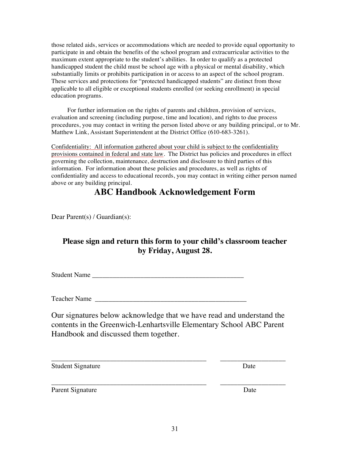those related aids, services or accommodations which are needed to provide equal opportunity to participate in and obtain the benefits of the school program and extracurricular activities to the maximum extent appropriate to the student's abilities. In order to qualify as a protected handicapped student the child must be school age with a physical or mental disability, which substantially limits or prohibits participation in or access to an aspect of the school program. These services and protections for "protected handicapped students" are distinct from those applicable to all eligible or exceptional students enrolled (or seeking enrollment) in special education programs.

For further information on the rights of parents and children, provision of services, evaluation and screening (including purpose, time and location), and rights to due process procedures, you may contact in writing the person listed above or any building principal, or to Mr. Matthew Link, Assistant Superintendent at the District Office (610-683-3261).

Confidentiality: All information gathered about your child is subject to the confidentiality provisions contained in federal and state law. The District has policies and procedures in effect governing the collection, maintenance, destruction and disclosure to third parties of this information. For information about these policies and procedures, as well as rights of confidentiality and access to educational records, you may contact in writing either person named above or any building principal.

#### **ABC Handbook Acknowledgement Form**

Dear Parent(s) / Guardian(s):

#### **Please sign and return this form to your child's classroom teacher by Friday, August 28.**

Student Name

Teacher Name

Our signatures below acknowledge that we have read and understand the contents in the Greenwich-Lenhartsville Elementary School ABC Parent Handbook and discussed them together.

\_\_\_\_\_\_\_\_\_\_\_\_\_\_\_\_\_\_\_\_\_\_\_\_\_\_\_\_\_\_\_\_\_\_\_\_\_\_\_\_\_\_\_\_\_ \_\_\_\_\_\_\_\_\_\_\_\_\_\_\_\_\_\_\_

\_\_\_\_\_\_\_\_\_\_\_\_\_\_\_\_\_\_\_\_\_\_\_\_\_\_\_\_\_\_\_\_\_\_\_\_\_\_\_\_\_\_\_\_\_ \_\_\_\_\_\_\_\_\_\_\_\_\_\_\_\_\_\_\_

Student Signature Date

Parent Signature Date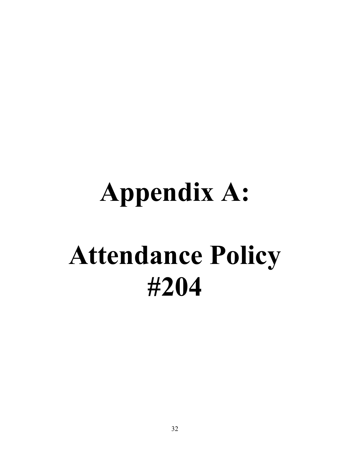# **Appendix A: Attendance Policy #204**